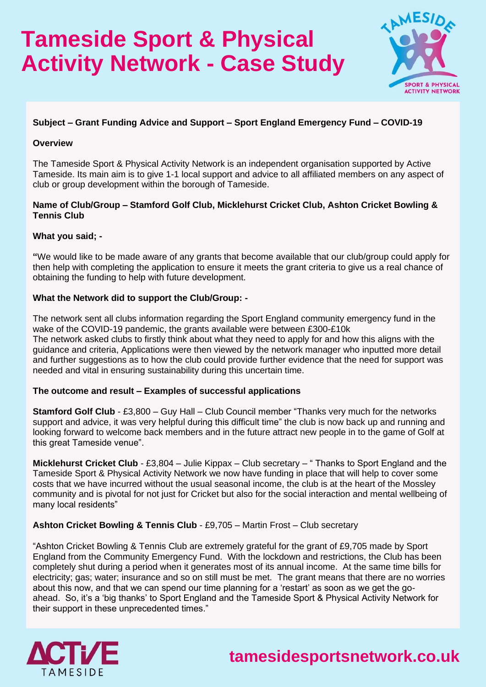# **Tameside Sport & Physical Activity Network - Case Study**



### **Subject – Grant Funding Advice and Support – Sport England Emergency Fund – COVID-19**

#### **Overview**

The Tameside Sport & Physical Activity Network is an independent organisation supported by Active Tameside. Its main aim is to give 1-1 local support and advice to all affiliated members on any aspect of club or group development within the borough of Tameside.

#### **Name of Club/Group – Stamford Golf Club, Micklehurst Cricket Club, Ashton Cricket Bowling & Tennis Club**

#### **What you said; -**

**"**We would like to be made aware of any grants that become available that our club/group could apply for then help with completing the application to ensure it meets the grant criteria to give us a real chance of obtaining the funding to help with future development.

#### **What the Network did to support the Club/Group: -**

The network sent all clubs information regarding the Sport England community emergency fund in the wake of the COVID-19 pandemic, the grants available were between £300-£10k The network asked clubs to firstly think about what they need to apply for and how this aligns with the guidance and criteria, Applications were then viewed by the network manager who inputted more detail and further suggestions as to how the club could provide further evidence that the need for support was needed and vital in ensuring sustainability during this uncertain time.

#### **The outcome and result – Examples of successful applications**

**Stamford Golf Club** - £3,800 – Guy Hall – Club Council member "Thanks very much for the networks" support and advice, it was very helpful during this difficult time" the club is now back up and running and looking forward to welcome back members and in the future attract new people in to the game of Golf at this great Tameside venue".

**Micklehurst Cricket Club** - £3,804 – Julie Kippax – Club secretary – " Thanks to Sport England and the Tameside Sport & Physical Activity Network we now have funding in place that will help to cover some costs that we have incurred without the usual seasonal income, the club is at the heart of the Mossley community and is pivotal for not just for Cricket but also for the social interaction and mental wellbeing of many local residents"

#### **Ashton Cricket Bowling & Tennis Club** - £9,705 – Martin Frost – Club secretary

"Ashton Cricket Bowling & Tennis Club are extremely grateful for the grant of £9,705 made by Sport England from the Community Emergency Fund. With the lockdown and restrictions, the Club has been completely shut during a period when it generates most of its annual income. At the same time bills for electricity; gas; water; insurance and so on still must be met. The grant means that there are no worries about this now, and that we can spend our time planning for a 'restart' as soon as we get the goahead. So, it's a 'big thanks' to Sport England and the Tameside Sport & Physical Activity Network for their support in these unprecedented times."



**tamesidesportsnetwork.co.uk**